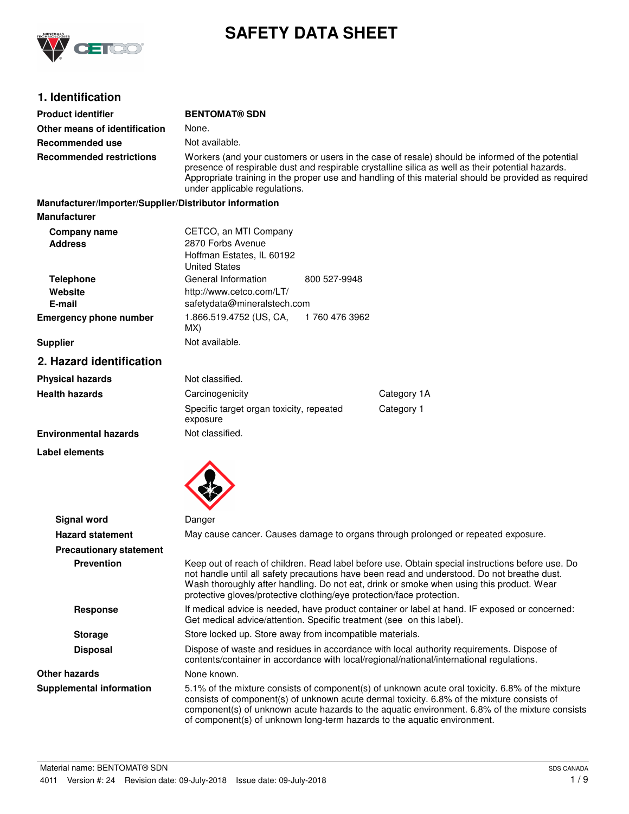

# **SAFETY DATA SHEET**

# **1. Identification**

| <b>Product identifier</b>                              | <b>BENTOMAT® SDN</b>                                                                                                                                                                                                                                                                                                                         |               |                                                                                                                                                                                                                                                                                                                                                                              |
|--------------------------------------------------------|----------------------------------------------------------------------------------------------------------------------------------------------------------------------------------------------------------------------------------------------------------------------------------------------------------------------------------------------|---------------|------------------------------------------------------------------------------------------------------------------------------------------------------------------------------------------------------------------------------------------------------------------------------------------------------------------------------------------------------------------------------|
| Other means of identification                          | None.                                                                                                                                                                                                                                                                                                                                        |               |                                                                                                                                                                                                                                                                                                                                                                              |
| Recommended use                                        | Not available.                                                                                                                                                                                                                                                                                                                               |               |                                                                                                                                                                                                                                                                                                                                                                              |
| <b>Recommended restrictions</b>                        | Workers (and your customers or users in the case of resale) should be informed of the potential<br>presence of respirable dust and respirable crystalline silica as well as their potential hazards.<br>Appropriate training in the proper use and handling of this material should be provided as required<br>under applicable regulations. |               |                                                                                                                                                                                                                                                                                                                                                                              |
| Manufacturer/Importer/Supplier/Distributor information |                                                                                                                                                                                                                                                                                                                                              |               |                                                                                                                                                                                                                                                                                                                                                                              |
| <b>Manufacturer</b>                                    |                                                                                                                                                                                                                                                                                                                                              |               |                                                                                                                                                                                                                                                                                                                                                                              |
| Company name<br><b>Address</b>                         | CETCO, an MTI Company<br>2870 Forbs Avenue<br>Hoffman Estates, IL 60192<br><b>United States</b>                                                                                                                                                                                                                                              |               |                                                                                                                                                                                                                                                                                                                                                                              |
| <b>Telephone</b><br>Website<br>E-mail                  | General Information<br>http://www.cetco.com/LT/<br>safetydata@mineralstech.com                                                                                                                                                                                                                                                               | 800 527-9948  |                                                                                                                                                                                                                                                                                                                                                                              |
| <b>Emergency phone number</b>                          | 1.866.519.4752 (US, CA,<br>MX)                                                                                                                                                                                                                                                                                                               | 1760 476 3962 |                                                                                                                                                                                                                                                                                                                                                                              |
| <b>Supplier</b>                                        | Not available.                                                                                                                                                                                                                                                                                                                               |               |                                                                                                                                                                                                                                                                                                                                                                              |
| 2. Hazard identification                               |                                                                                                                                                                                                                                                                                                                                              |               |                                                                                                                                                                                                                                                                                                                                                                              |
| <b>Physical hazards</b>                                | Not classified.                                                                                                                                                                                                                                                                                                                              |               |                                                                                                                                                                                                                                                                                                                                                                              |
| <b>Health hazards</b>                                  | Carcinogenicity                                                                                                                                                                                                                                                                                                                              |               | Category 1A                                                                                                                                                                                                                                                                                                                                                                  |
|                                                        | Specific target organ toxicity, repeated<br>exposure                                                                                                                                                                                                                                                                                         |               | Category 1                                                                                                                                                                                                                                                                                                                                                                   |
| <b>Environmental hazards</b>                           | Not classified.                                                                                                                                                                                                                                                                                                                              |               |                                                                                                                                                                                                                                                                                                                                                                              |
| Label elements                                         |                                                                                                                                                                                                                                                                                                                                              |               |                                                                                                                                                                                                                                                                                                                                                                              |
| <b>Signal word</b>                                     | Danger                                                                                                                                                                                                                                                                                                                                       |               |                                                                                                                                                                                                                                                                                                                                                                              |
| <b>Hazard statement</b>                                |                                                                                                                                                                                                                                                                                                                                              |               | May cause cancer. Causes damage to organs through prolonged or repeated exposure.                                                                                                                                                                                                                                                                                            |
| <b>Precautionary statement</b>                         |                                                                                                                                                                                                                                                                                                                                              |               |                                                                                                                                                                                                                                                                                                                                                                              |
| <b>Prevention</b>                                      | protective gloves/protective clothing/eye protection/face protection.                                                                                                                                                                                                                                                                        |               | Keep out of reach of children. Read label before use. Obtain special instructions before use. Do<br>not handle until all safety precautions have been read and understood. Do not breathe dust.<br>Wash thoroughly after handling. Do not eat, drink or smoke when using this product. Wear                                                                                  |
| <b>Response</b>                                        | If medical advice is needed, have product container or label at hand. IF exposed or concerned:<br>Get medical advice/attention. Specific treatment (see on this label).                                                                                                                                                                      |               |                                                                                                                                                                                                                                                                                                                                                                              |
| <b>Storage</b>                                         | Store locked up. Store away from incompatible materials.                                                                                                                                                                                                                                                                                     |               |                                                                                                                                                                                                                                                                                                                                                                              |
| <b>Disposal</b>                                        |                                                                                                                                                                                                                                                                                                                                              |               | Dispose of waste and residues in accordance with local authority requirements. Dispose of<br>contents/container in accordance with local/regional/national/international regulations.                                                                                                                                                                                        |
| <b>Other hazards</b>                                   | None known.                                                                                                                                                                                                                                                                                                                                  |               |                                                                                                                                                                                                                                                                                                                                                                              |
| <b>Supplemental information</b>                        |                                                                                                                                                                                                                                                                                                                                              |               | 5.1% of the mixture consists of component(s) of unknown acute oral toxicity. 6.8% of the mixture<br>consists of component(s) of unknown acute dermal toxicity. 6.8% of the mixture consists of<br>component(s) of unknown acute hazards to the aquatic environment. 6.8% of the mixture consists<br>of component(s) of unknown long-term hazards to the aquatic environment. |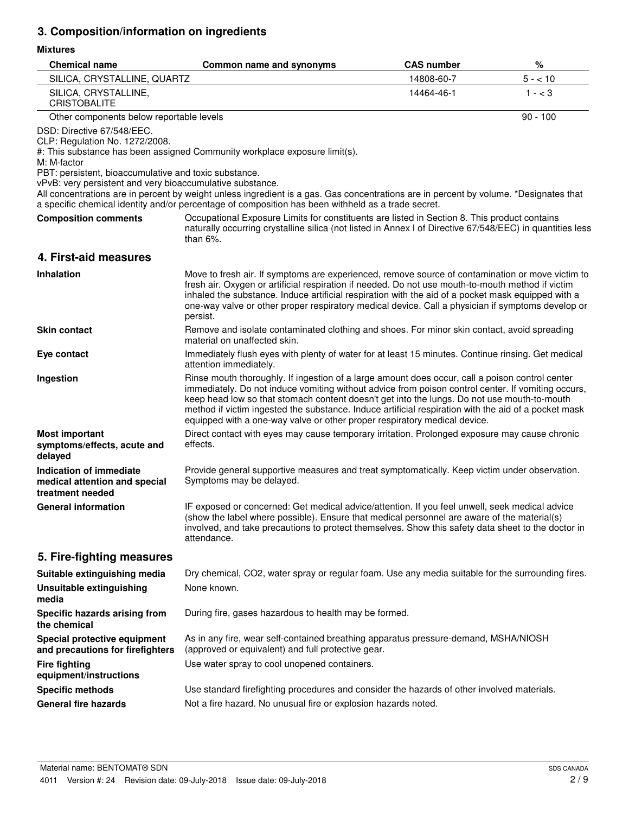# **3. Composition/information on ingredients**

## **Mixtures**

| <b>Chemical name</b>                                                                                                                                                                              | Common name and synonyms                                                                                                                                                                                                                                                                                                                                                                                                                                                                  | <b>CAS number</b> | %          |
|---------------------------------------------------------------------------------------------------------------------------------------------------------------------------------------------------|-------------------------------------------------------------------------------------------------------------------------------------------------------------------------------------------------------------------------------------------------------------------------------------------------------------------------------------------------------------------------------------------------------------------------------------------------------------------------------------------|-------------------|------------|
| SILICA, CRYSTALLINE, QUARTZ                                                                                                                                                                       |                                                                                                                                                                                                                                                                                                                                                                                                                                                                                           | 14808-60-7        | $5 - 10$   |
| SILICA, CRYSTALLINE,<br><b>CRISTOBALITE</b>                                                                                                                                                       |                                                                                                                                                                                                                                                                                                                                                                                                                                                                                           | 14464-46-1        | $1 - < 3$  |
| Other components below reportable levels                                                                                                                                                          |                                                                                                                                                                                                                                                                                                                                                                                                                                                                                           |                   | $90 - 100$ |
| DSD: Directive 67/548/EEC.<br>CLP: Regulation No. 1272/2008.<br>M: M-factor<br>PBT: persistent, bioaccumulative and toxic substance.<br>vPvB: very persistent and very bioaccumulative substance. | #: This substance has been assigned Community workplace exposure limit(s).                                                                                                                                                                                                                                                                                                                                                                                                                |                   |            |
|                                                                                                                                                                                                   | All concentrations are in percent by weight unless ingredient is a gas. Gas concentrations are in percent by volume. *Designates that<br>a specific chemical identity and/or percentage of composition has been withheld as a trade secret.                                                                                                                                                                                                                                               |                   |            |
| <b>Composition comments</b>                                                                                                                                                                       | Occupational Exposure Limits for constituents are listed in Section 8. This product contains<br>naturally occurring crystalline silica (not listed in Annex I of Directive 67/548/EEC) in quantities less<br>than $6\%$ .                                                                                                                                                                                                                                                                 |                   |            |
| 4. First-aid measures                                                                                                                                                                             |                                                                                                                                                                                                                                                                                                                                                                                                                                                                                           |                   |            |
| <b>Inhalation</b>                                                                                                                                                                                 | Move to fresh air. If symptoms are experienced, remove source of contamination or move victim to<br>fresh air. Oxygen or artificial respiration if needed. Do not use mouth-to-mouth method if victim<br>inhaled the substance. Induce artificial respiration with the aid of a pocket mask equipped with a<br>one-way valve or other proper respiratory medical device. Call a physician if symptoms develop or<br>persist.                                                              |                   |            |
| <b>Skin contact</b>                                                                                                                                                                               | Remove and isolate contaminated clothing and shoes. For minor skin contact, avoid spreading<br>material on unaffected skin.                                                                                                                                                                                                                                                                                                                                                               |                   |            |
| Eye contact                                                                                                                                                                                       | Immediately flush eyes with plenty of water for at least 15 minutes. Continue rinsing. Get medical<br>attention immediately.                                                                                                                                                                                                                                                                                                                                                              |                   |            |
| Ingestion                                                                                                                                                                                         | Rinse mouth thoroughly. If ingestion of a large amount does occur, call a poison control center<br>immediately. Do not induce vomiting without advice from poison control center. If vomiting occurs,<br>keep head low so that stomach content doesn't get into the lungs. Do not use mouth-to-mouth<br>method if victim ingested the substance. Induce artificial respiration with the aid of a pocket mask<br>equipped with a one-way valve or other proper respiratory medical device. |                   |            |
| <b>Most important</b><br>symptoms/effects, acute and<br>delayed                                                                                                                                   | Direct contact with eyes may cause temporary irritation. Prolonged exposure may cause chronic<br>effects.                                                                                                                                                                                                                                                                                                                                                                                 |                   |            |
| Indication of immediate<br>medical attention and special<br>treatment needed                                                                                                                      | Provide general supportive measures and treat symptomatically. Keep victim under observation.<br>Symptoms may be delayed.                                                                                                                                                                                                                                                                                                                                                                 |                   |            |
| <b>General information</b>                                                                                                                                                                        | IF exposed or concerned: Get medical advice/attention. If you feel unwell, seek medical advice<br>(show the label where possible). Ensure that medical personnel are aware of the material(s)<br>involved, and take precautions to protect themselves. Show this safety data sheet to the doctor in<br>attendance.                                                                                                                                                                        |                   |            |
| 5. Fire-fighting measures                                                                                                                                                                         |                                                                                                                                                                                                                                                                                                                                                                                                                                                                                           |                   |            |
| Suitable extinguishing media                                                                                                                                                                      | Dry chemical, CO2, water spray or regular foam. Use any media suitable for the surrounding fires.                                                                                                                                                                                                                                                                                                                                                                                         |                   |            |
| <b>Unsuitable extinguishing</b><br>media                                                                                                                                                          | None known.                                                                                                                                                                                                                                                                                                                                                                                                                                                                               |                   |            |
| Specific hazards arising from<br>the chemical                                                                                                                                                     | During fire, gases hazardous to health may be formed.                                                                                                                                                                                                                                                                                                                                                                                                                                     |                   |            |
| Special protective equipment<br>and precautions for firefighters                                                                                                                                  | As in any fire, wear self-contained breathing apparatus pressure-demand, MSHA/NIOSH<br>(approved or equivalent) and full protective gear.                                                                                                                                                                                                                                                                                                                                                 |                   |            |
| <b>Fire fighting</b><br>equipment/instructions                                                                                                                                                    | Use water spray to cool unopened containers.                                                                                                                                                                                                                                                                                                                                                                                                                                              |                   |            |
| <b>Specific methods</b>                                                                                                                                                                           | Use standard firefighting procedures and consider the hazards of other involved materials.                                                                                                                                                                                                                                                                                                                                                                                                |                   |            |
| <b>General fire hazards</b>                                                                                                                                                                       | Not a fire hazard. No unusual fire or explosion hazards noted.                                                                                                                                                                                                                                                                                                                                                                                                                            |                   |            |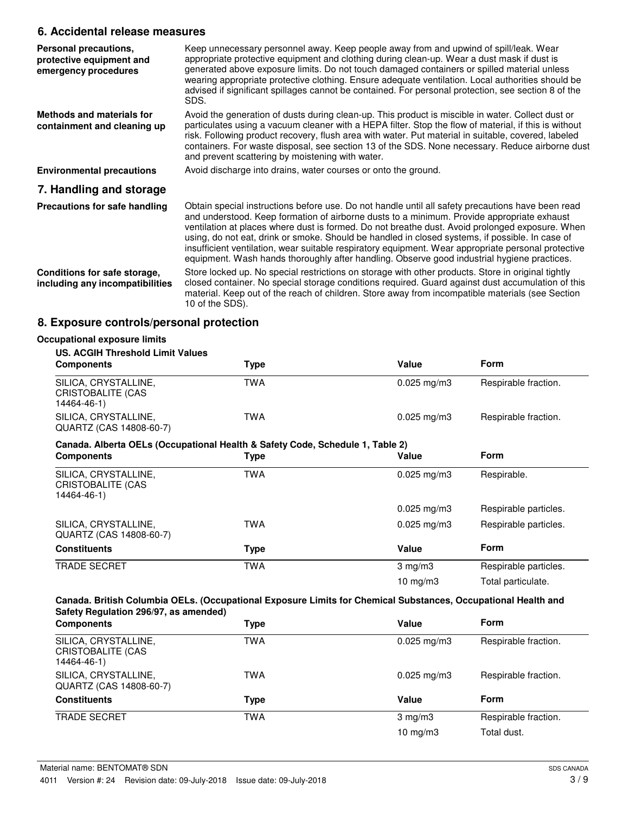# **6. Accidental release measures**

| Personal precautions,<br>protective equipment and<br>emergency procedures | Keep unnecessary personnel away. Keep people away from and upwind of spill/leak. Wear<br>appropriate protective equipment and clothing during clean-up. Wear a dust mask if dust is<br>generated above exposure limits. Do not touch damaged containers or spilled material unless<br>wearing appropriate protective clothing. Ensure adequate ventilation. Local authorities should be<br>advised if significant spillages cannot be contained. For personal protection, see section 8 of the<br>SDS.                                                                                                      |
|---------------------------------------------------------------------------|-------------------------------------------------------------------------------------------------------------------------------------------------------------------------------------------------------------------------------------------------------------------------------------------------------------------------------------------------------------------------------------------------------------------------------------------------------------------------------------------------------------------------------------------------------------------------------------------------------------|
| Methods and materials for<br>containment and cleaning up                  | Avoid the generation of dusts during clean-up. This product is miscible in water. Collect dust or<br>particulates using a vacuum cleaner with a HEPA filter. Stop the flow of material, if this is without<br>risk. Following product recovery, flush area with water. Put material in suitable, covered, labeled<br>containers. For waste disposal, see section 13 of the SDS. None necessary. Reduce airborne dust<br>and prevent scattering by moistening with water.                                                                                                                                    |
| <b>Environmental precautions</b>                                          | Avoid discharge into drains, water courses or onto the ground.                                                                                                                                                                                                                                                                                                                                                                                                                                                                                                                                              |
| 7. Handling and storage                                                   |                                                                                                                                                                                                                                                                                                                                                                                                                                                                                                                                                                                                             |
| Precautions for safe handling                                             | Obtain special instructions before use. Do not handle until all safety precautions have been read<br>and understood. Keep formation of airborne dusts to a minimum. Provide appropriate exhaust<br>ventilation at places where dust is formed. Do not breathe dust. Avoid prolonged exposure. When<br>using, do not eat, drink or smoke. Should be handled in closed systems, if possible. In case of<br>insufficient ventilation, wear suitable respiratory equipment. Wear appropriate personal protective<br>equipment. Wash hands thoroughly after handling. Observe good industrial hygiene practices. |
| Conditions for safe storage,<br>including any incompatibilities           | Store locked up. No special restrictions on storage with other products. Store in original tightly<br>closed container. No special storage conditions required. Guard against dust accumulation of this<br>material. Keep out of the reach of children. Store away from incompatible materials (see Section<br>10 of the SDS).                                                                                                                                                                                                                                                                              |

# **8. Exposure controls/personal protection**

| <b>US. ACGIH Threshold Limit Values</b>                                       |            |                         |                       |
|-------------------------------------------------------------------------------|------------|-------------------------|-----------------------|
| <b>Components</b>                                                             | Type       | Value                   | <b>Form</b>           |
| SILICA, CRYSTALLINE,<br>CRISTOBALITE (CAS<br>14464-46-1)                      | <b>TWA</b> | $0.025$ mg/m3           | Respirable fraction.  |
| SILICA, CRYSTALLINE,<br>QUARTZ (CAS 14808-60-7)                               | <b>TWA</b> | $0.025 \,\mathrm{mg/m}$ | Respirable fraction.  |
| Canada. Alberta OELs (Occupational Health & Safety Code, Schedule 1, Table 2) |            |                         |                       |
| <b>Components</b>                                                             | Type       | Value                   | <b>Form</b>           |
| SILICA, CRYSTALLINE,<br>CRISTOBALITE (CAS<br>14464-46-1)                      | <b>TWA</b> | $0.025$ mg/m3           | Respirable.           |
|                                                                               |            | $0.025$ mg/m3           | Respirable particles. |
| SILICA, CRYSTALLINE,<br>QUARTZ (CAS 14808-60-7)                               | TWA        | $0.025$ mg/m3           | Respirable particles. |
| <b>Constituents</b>                                                           | Type       | Value                   | Form                  |
| <b>TRADE SECRET</b>                                                           | <b>TWA</b> | $3 \text{ mg/m}$        | Respirable particles. |
|                                                                               |            | 10 mg/m $3$             | Total particulate.    |

| <b>Components</b>                                        | <b>Type</b> | Value            | <b>Form</b>          |
|----------------------------------------------------------|-------------|------------------|----------------------|
| SILICA, CRYSTALLINE,<br>CRISTOBALITE (CAS<br>14464-46-1) | <b>TWA</b>  | $0.025$ mg/m $3$ | Respirable fraction. |
| SILICA, CRYSTALLINE,<br>QUARTZ (CAS 14808-60-7)          | TWA         | $0.025$ mg/m $3$ | Respirable fraction. |
| <b>Constituents</b>                                      | Type        | Value            | <b>Form</b>          |
| <b>TRADE SECRET</b>                                      | <b>TWA</b>  | $3$ mg/m $3$     | Respirable fraction. |
|                                                          |             | 10 $mg/m3$       | Total dust.          |
|                                                          |             |                  |                      |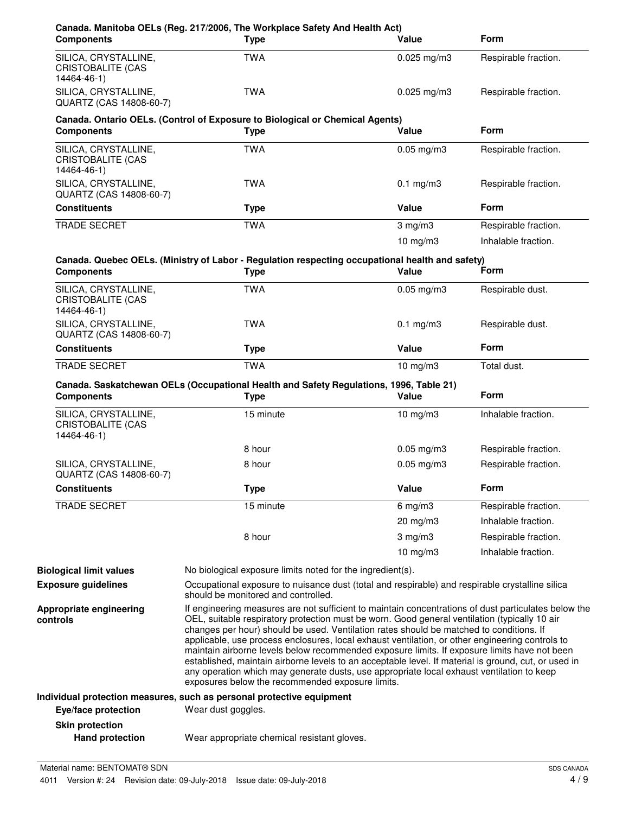| <b>Components</b>                                               | Canada. Manitoba OELs (Reg. 217/2006, The Workplace Safety And Health Act)<br><b>Type</b>                                                                                                                                                                                                                                                                                                                                                                                                                                                                                                                                                                                                                | Value           | <b>Form</b>          |
|-----------------------------------------------------------------|----------------------------------------------------------------------------------------------------------------------------------------------------------------------------------------------------------------------------------------------------------------------------------------------------------------------------------------------------------------------------------------------------------------------------------------------------------------------------------------------------------------------------------------------------------------------------------------------------------------------------------------------------------------------------------------------------------|-----------------|----------------------|
| SILICA, CRYSTALLINE,<br>CRISTOBALITE (CAS<br>14464-46-1)        | <b>TWA</b>                                                                                                                                                                                                                                                                                                                                                                                                                                                                                                                                                                                                                                                                                               | $0.025$ mg/m3   | Respirable fraction. |
| SILICA, CRYSTALLINE,<br>QUARTZ (CAS 14808-60-7)                 | <b>TWA</b>                                                                                                                                                                                                                                                                                                                                                                                                                                                                                                                                                                                                                                                                                               | $0.025$ mg/m3   | Respirable fraction. |
| <b>Components</b>                                               | Canada. Ontario OELs. (Control of Exposure to Biological or Chemical Agents)<br><b>Type</b>                                                                                                                                                                                                                                                                                                                                                                                                                                                                                                                                                                                                              | Value           | <b>Form</b>          |
| SILICA, CRYSTALLINE,<br><b>CRISTOBALITE (CAS</b><br>14464-46-1) | <b>TWA</b>                                                                                                                                                                                                                                                                                                                                                                                                                                                                                                                                                                                                                                                                                               | $0.05$ mg/m $3$ | Respirable fraction. |
| SILICA, CRYSTALLINE,<br>QUARTZ (CAS 14808-60-7)                 | <b>TWA</b>                                                                                                                                                                                                                                                                                                                                                                                                                                                                                                                                                                                                                                                                                               | $0.1$ mg/m $3$  | Respirable fraction. |
| <b>Constituents</b>                                             | <b>Type</b>                                                                                                                                                                                                                                                                                                                                                                                                                                                                                                                                                                                                                                                                                              | Value           | <b>Form</b>          |
| <b>TRADE SECRET</b>                                             | <b>TWA</b>                                                                                                                                                                                                                                                                                                                                                                                                                                                                                                                                                                                                                                                                                               | $3$ mg/m $3$    | Respirable fraction. |
|                                                                 |                                                                                                                                                                                                                                                                                                                                                                                                                                                                                                                                                                                                                                                                                                          | $10$ mg/m $3$   | Inhalable fraction.  |
| <b>Components</b>                                               | Canada. Quebec OELs. (Ministry of Labor - Regulation respecting occupational health and safety)<br><b>Type</b>                                                                                                                                                                                                                                                                                                                                                                                                                                                                                                                                                                                           | Value           | Form                 |
| SILICA, CRYSTALLINE,<br><b>CRISTOBALITE (CAS</b><br>14464-46-1) | <b>TWA</b>                                                                                                                                                                                                                                                                                                                                                                                                                                                                                                                                                                                                                                                                                               | $0.05$ mg/m $3$ | Respirable dust.     |
| SILICA, CRYSTALLINE,<br>QUARTZ (CAS 14808-60-7)                 | <b>TWA</b>                                                                                                                                                                                                                                                                                                                                                                                                                                                                                                                                                                                                                                                                                               | $0.1$ mg/m $3$  | Respirable dust.     |
| <b>Constituents</b>                                             | <b>Type</b>                                                                                                                                                                                                                                                                                                                                                                                                                                                                                                                                                                                                                                                                                              | Value           | <b>Form</b>          |
| TRADE SECRET                                                    | <b>TWA</b>                                                                                                                                                                                                                                                                                                                                                                                                                                                                                                                                                                                                                                                                                               | $10$ mg/m $3$   | Total dust.          |
| <b>Components</b>                                               | Canada. Saskatchewan OELs (Occupational Health and Safety Regulations, 1996, Table 21)<br><b>Type</b>                                                                                                                                                                                                                                                                                                                                                                                                                                                                                                                                                                                                    | Value           | <b>Form</b>          |
| SILICA, CRYSTALLINE,<br><b>CRISTOBALITE (CAS</b><br>14464-46-1) | 15 minute                                                                                                                                                                                                                                                                                                                                                                                                                                                                                                                                                                                                                                                                                                | $10$ mg/m $3$   | Inhalable fraction.  |
|                                                                 | 8 hour                                                                                                                                                                                                                                                                                                                                                                                                                                                                                                                                                                                                                                                                                                   | $0.05$ mg/m3    | Respirable fraction. |
| SILICA, CRYSTALLINE,<br>QUARTZ (CAS 14808-60-7)                 | 8 hour                                                                                                                                                                                                                                                                                                                                                                                                                                                                                                                                                                                                                                                                                                   | $0.05$ mg/m $3$ | Respirable fraction. |
| <b>Constituents</b>                                             | <b>Type</b>                                                                                                                                                                                                                                                                                                                                                                                                                                                                                                                                                                                                                                                                                              | Value           | Form                 |
| <b>TRADE SECRET</b>                                             | 15 minute                                                                                                                                                                                                                                                                                                                                                                                                                                                                                                                                                                                                                                                                                                | $6$ mg/m $3$    | Respirable fraction. |
|                                                                 |                                                                                                                                                                                                                                                                                                                                                                                                                                                                                                                                                                                                                                                                                                          | 20 mg/m3        | Inhalable fraction.  |
|                                                                 | 8 hour                                                                                                                                                                                                                                                                                                                                                                                                                                                                                                                                                                                                                                                                                                   | $3$ mg/m $3$    | Respirable fraction. |
|                                                                 |                                                                                                                                                                                                                                                                                                                                                                                                                                                                                                                                                                                                                                                                                                          | 10 $mg/m3$      | Inhalable fraction.  |
| <b>Biological limit values</b>                                  | No biological exposure limits noted for the ingredient(s).                                                                                                                                                                                                                                                                                                                                                                                                                                                                                                                                                                                                                                               |                 |                      |
| <b>Exposure guidelines</b>                                      | Occupational exposure to nuisance dust (total and respirable) and respirable crystalline silica<br>should be monitored and controlled.                                                                                                                                                                                                                                                                                                                                                                                                                                                                                                                                                                   |                 |                      |
| Appropriate engineering<br>controls                             | If engineering measures are not sufficient to maintain concentrations of dust particulates below the<br>OEL, suitable respiratory protection must be worn. Good general ventilation (typically 10 air<br>changes per hour) should be used. Ventilation rates should be matched to conditions. If<br>applicable, use process enclosures, local exhaust ventilation, or other engineering controls to<br>maintain airborne levels below recommended exposure limits. If exposure limits have not been<br>established, maintain airborne levels to an acceptable level. If material is ground, cut, or used in<br>any operation which may generate dusts, use appropriate local exhaust ventilation to keep |                 |                      |
|                                                                 | exposures below the recommended exposure limits.                                                                                                                                                                                                                                                                                                                                                                                                                                                                                                                                                                                                                                                         |                 |                      |
| Eye/face protection                                             | Individual protection measures, such as personal protective equipment<br>Wear dust goggles.                                                                                                                                                                                                                                                                                                                                                                                                                                                                                                                                                                                                              |                 |                      |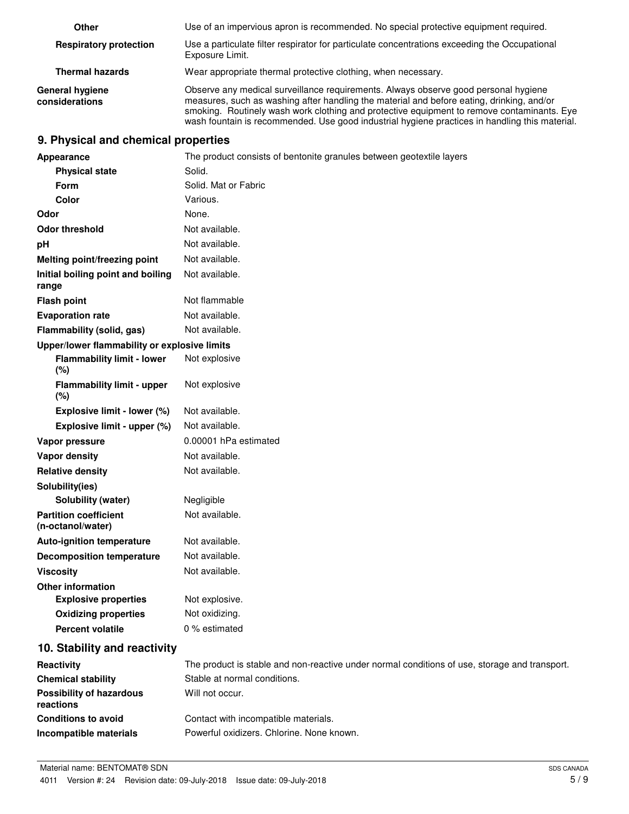| Other                                    | Use of an impervious apron is recommended. No special protective equipment required.                                                                                                                                                                                                                                                                                             |
|------------------------------------------|----------------------------------------------------------------------------------------------------------------------------------------------------------------------------------------------------------------------------------------------------------------------------------------------------------------------------------------------------------------------------------|
| <b>Respiratory protection</b>            | Use a particulate filter respirator for particulate concentrations exceeding the Occupational<br>Exposure Limit.                                                                                                                                                                                                                                                                 |
| <b>Thermal hazards</b>                   | Wear appropriate thermal protective clothing, when necessary.                                                                                                                                                                                                                                                                                                                    |
| <b>General hygiene</b><br>considerations | Observe any medical surveillance requirements. Always observe good personal hygiene<br>measures, such as washing after handling the material and before eating, drinking, and/or<br>smoking. Routinely wash work clothing and protective equipment to remove contaminants. Eye<br>wash fountain is recommended. Use good industrial hygiene practices in handling this material. |

# **9. Physical and chemical properties**

| Appearance                                        | The product consists of bentonite granules between geotextile layers                          |
|---------------------------------------------------|-----------------------------------------------------------------------------------------------|
| <b>Physical state</b>                             | Solid.                                                                                        |
| Form                                              | Solid. Mat or Fabric                                                                          |
| Color                                             | Various.                                                                                      |
| Odor                                              | None.                                                                                         |
| <b>Odor threshold</b>                             | Not available.                                                                                |
| pH                                                | Not available.                                                                                |
| Melting point/freezing point                      | Not available.                                                                                |
| Initial boiling point and boiling<br>range        | Not available.                                                                                |
| <b>Flash point</b>                                | Not flammable                                                                                 |
| <b>Evaporation rate</b>                           | Not available.                                                                                |
| Flammability (solid, gas)                         | Not available.                                                                                |
| Upper/lower flammability or explosive limits      |                                                                                               |
| <b>Flammability limit - lower</b><br>(%)          | Not explosive                                                                                 |
| <b>Flammability limit - upper</b><br>(%)          | Not explosive                                                                                 |
| Explosive limit - lower (%)                       | Not available.                                                                                |
| Explosive limit - upper (%)                       | Not available.                                                                                |
| Vapor pressure                                    | 0.00001 hPa estimated                                                                         |
| Vapor density                                     | Not available.                                                                                |
| <b>Relative density</b>                           | Not available.                                                                                |
| Solubility(ies)                                   |                                                                                               |
| Solubility (water)                                | Negligible                                                                                    |
| <b>Partition coefficient</b><br>(n-octanol/water) | Not available.                                                                                |
| <b>Auto-ignition temperature</b>                  | Not available.                                                                                |
| <b>Decomposition temperature</b>                  | Not available.                                                                                |
| <b>Viscosity</b>                                  | Not available.                                                                                |
| <b>Other information</b>                          |                                                                                               |
| <b>Explosive properties</b>                       | Not explosive.                                                                                |
| <b>Oxidizing properties</b>                       | Not oxidizing.                                                                                |
| <b>Percent volatile</b>                           | 0 % estimated                                                                                 |
| 10. Stability and reactivity                      |                                                                                               |
| Reactivity                                        | The product is stable and non-reactive under normal conditions of use, storage and transport. |
| <b>Chemical stability</b>                         | Stable at normal conditions.                                                                  |
| <b>Possibility of hazardous</b><br>reactions      | Will not occur.                                                                               |
| <b>Conditions to avoid</b>                        | Contact with incompatible materials.                                                          |
| Incompatible materials                            | Powerful oxidizers. Chlorine. None known.                                                     |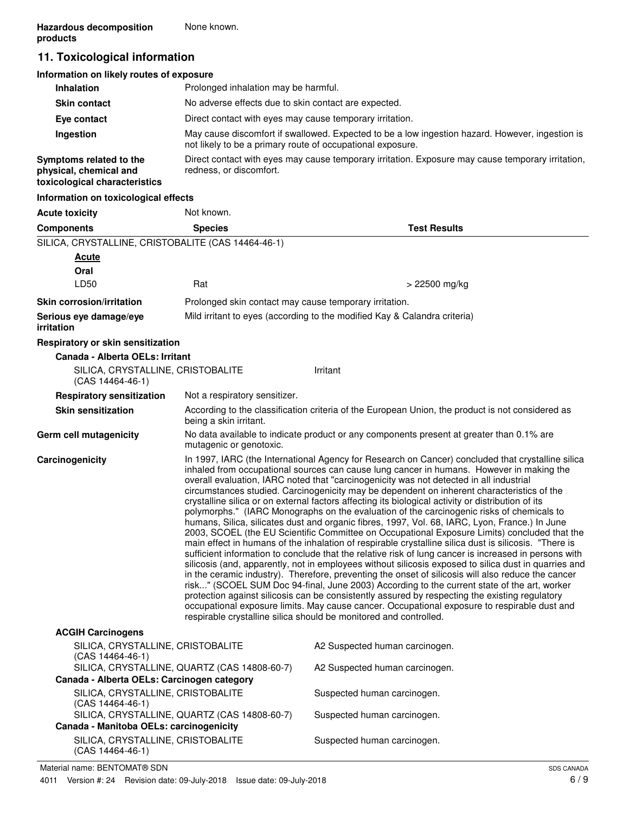# **11. Toxicological information**

| Information on likely routes of exposure                                           |                                                                                                                                                               |
|------------------------------------------------------------------------------------|---------------------------------------------------------------------------------------------------------------------------------------------------------------|
| <b>Inhalation</b>                                                                  | Prolonged inhalation may be harmful.                                                                                                                          |
| <b>Skin contact</b>                                                                | No adverse effects due to skin contact are expected.                                                                                                          |
| Eye contact                                                                        | Direct contact with eyes may cause temporary irritation.                                                                                                      |
| Ingestion                                                                          | May cause discomfort if swallowed. Expected to be a low ingestion hazard. However, ingestion is<br>not likely to be a primary route of occupational exposure. |
| Symptoms related to the<br>physical, chemical and<br>toxicological characteristics | Direct contact with eyes may cause temporary irritation. Exposure may cause temporary irritation,<br>redness, or discomfort.                                  |
| Information on toxicological effects                                               |                                                                                                                                                               |

| <b>Acute toxicity</b>                                       | Not known.                                             |                                                                                                                                                                                                                                                                                                                                                                                                                                                                                                                                                                                                                                                                                                                                                                                                                                                                                                                                                                                                                                                                                                                                                                                                                                                                                                                                                                                                                                                                                                                                                                                                    |
|-------------------------------------------------------------|--------------------------------------------------------|----------------------------------------------------------------------------------------------------------------------------------------------------------------------------------------------------------------------------------------------------------------------------------------------------------------------------------------------------------------------------------------------------------------------------------------------------------------------------------------------------------------------------------------------------------------------------------------------------------------------------------------------------------------------------------------------------------------------------------------------------------------------------------------------------------------------------------------------------------------------------------------------------------------------------------------------------------------------------------------------------------------------------------------------------------------------------------------------------------------------------------------------------------------------------------------------------------------------------------------------------------------------------------------------------------------------------------------------------------------------------------------------------------------------------------------------------------------------------------------------------------------------------------------------------------------------------------------------------|
| <b>Components</b>                                           | <b>Species</b>                                         | <b>Test Results</b>                                                                                                                                                                                                                                                                                                                                                                                                                                                                                                                                                                                                                                                                                                                                                                                                                                                                                                                                                                                                                                                                                                                                                                                                                                                                                                                                                                                                                                                                                                                                                                                |
| SILICA, CRYSTALLINE, CRISTOBALITE (CAS 14464-46-1)          |                                                        |                                                                                                                                                                                                                                                                                                                                                                                                                                                                                                                                                                                                                                                                                                                                                                                                                                                                                                                                                                                                                                                                                                                                                                                                                                                                                                                                                                                                                                                                                                                                                                                                    |
| <b>Acute</b>                                                |                                                        |                                                                                                                                                                                                                                                                                                                                                                                                                                                                                                                                                                                                                                                                                                                                                                                                                                                                                                                                                                                                                                                                                                                                                                                                                                                                                                                                                                                                                                                                                                                                                                                                    |
| Oral                                                        |                                                        |                                                                                                                                                                                                                                                                                                                                                                                                                                                                                                                                                                                                                                                                                                                                                                                                                                                                                                                                                                                                                                                                                                                                                                                                                                                                                                                                                                                                                                                                                                                                                                                                    |
| LD50                                                        | Rat                                                    | > 22500 mg/kg                                                                                                                                                                                                                                                                                                                                                                                                                                                                                                                                                                                                                                                                                                                                                                                                                                                                                                                                                                                                                                                                                                                                                                                                                                                                                                                                                                                                                                                                                                                                                                                      |
| <b>Skin corrosion/irritation</b>                            | Prolonged skin contact may cause temporary irritation. |                                                                                                                                                                                                                                                                                                                                                                                                                                                                                                                                                                                                                                                                                                                                                                                                                                                                                                                                                                                                                                                                                                                                                                                                                                                                                                                                                                                                                                                                                                                                                                                                    |
| Serious eye damage/eye<br>irritation                        |                                                        | Mild irritant to eyes (according to the modified Kay & Calandra criteria)                                                                                                                                                                                                                                                                                                                                                                                                                                                                                                                                                                                                                                                                                                                                                                                                                                                                                                                                                                                                                                                                                                                                                                                                                                                                                                                                                                                                                                                                                                                          |
| Respiratory or skin sensitization                           |                                                        |                                                                                                                                                                                                                                                                                                                                                                                                                                                                                                                                                                                                                                                                                                                                                                                                                                                                                                                                                                                                                                                                                                                                                                                                                                                                                                                                                                                                                                                                                                                                                                                                    |
| Canada - Alberta OELs: Irritant                             |                                                        |                                                                                                                                                                                                                                                                                                                                                                                                                                                                                                                                                                                                                                                                                                                                                                                                                                                                                                                                                                                                                                                                                                                                                                                                                                                                                                                                                                                                                                                                                                                                                                                                    |
| SILICA, CRYSTALLINE, CRISTOBALITE<br>$(CAS 14464-46-1)$     |                                                        | Irritant                                                                                                                                                                                                                                                                                                                                                                                                                                                                                                                                                                                                                                                                                                                                                                                                                                                                                                                                                                                                                                                                                                                                                                                                                                                                                                                                                                                                                                                                                                                                                                                           |
| <b>Respiratory sensitization</b>                            | Not a respiratory sensitizer.                          |                                                                                                                                                                                                                                                                                                                                                                                                                                                                                                                                                                                                                                                                                                                                                                                                                                                                                                                                                                                                                                                                                                                                                                                                                                                                                                                                                                                                                                                                                                                                                                                                    |
| <b>Skin sensitization</b>                                   | being a skin irritant.                                 | According to the classification criteria of the European Union, the product is not considered as                                                                                                                                                                                                                                                                                                                                                                                                                                                                                                                                                                                                                                                                                                                                                                                                                                                                                                                                                                                                                                                                                                                                                                                                                                                                                                                                                                                                                                                                                                   |
| Germ cell mutagenicity                                      | mutagenic or genotoxic.                                | No data available to indicate product or any components present at greater than 0.1% are                                                                                                                                                                                                                                                                                                                                                                                                                                                                                                                                                                                                                                                                                                                                                                                                                                                                                                                                                                                                                                                                                                                                                                                                                                                                                                                                                                                                                                                                                                           |
| Carcinogenicity                                             |                                                        | In 1997, IARC (the International Agency for Research on Cancer) concluded that crystalline silica<br>inhaled from occupational sources can cause lung cancer in humans. However in making the<br>overall evaluation, IARC noted that "carcinogenicity was not detected in all industrial<br>circumstances studied. Carcinogenicity may be dependent on inherent characteristics of the<br>crystalline silica or on external factors affecting its biological activity or distribution of its<br>polymorphs." (IARC Monographs on the evaluation of the carcinogenic risks of chemicals to<br>humans, Silica, silicates dust and organic fibres, 1997, Vol. 68, IARC, Lyon, France.) In June<br>2003, SCOEL (the EU Scientific Committee on Occupational Exposure Limits) concluded that the<br>main effect in humans of the inhalation of respirable crystalline silica dust is silicosis. "There is<br>sufficient information to conclude that the relative risk of lung cancer is increased in persons with<br>silicosis (and, apparently, not in employees without silicosis exposed to silica dust in quarries and<br>in the ceramic industry). Therefore, preventing the onset of silicosis will also reduce the cancer<br>risk" (SCOEL SUM Doc 94-final, June 2003) According to the current state of the art, worker<br>protection against silicosis can be consistently assured by respecting the existing regulatory<br>occupational exposure limits. May cause cancer. Occupational exposure to respirable dust and<br>respirable crystalline silica should be monitored and controlled. |
| <b>ACGIH Carcinogens</b>                                    |                                                        |                                                                                                                                                                                                                                                                                                                                                                                                                                                                                                                                                                                                                                                                                                                                                                                                                                                                                                                                                                                                                                                                                                                                                                                                                                                                                                                                                                                                                                                                                                                                                                                                    |
| SILICA, CRYSTALLINE, CRISTOBALITE<br>$(CAS 14464 - 46 - 1)$ |                                                        | A2 Suspected human carcinogen.                                                                                                                                                                                                                                                                                                                                                                                                                                                                                                                                                                                                                                                                                                                                                                                                                                                                                                                                                                                                                                                                                                                                                                                                                                                                                                                                                                                                                                                                                                                                                                     |
| Canada - Alberta OELs: Carcinogen category                  | SILICA, CRYSTALLINE, QUARTZ (CAS 14808-60-7)           | A2 Suspected human carcinogen.                                                                                                                                                                                                                                                                                                                                                                                                                                                                                                                                                                                                                                                                                                                                                                                                                                                                                                                                                                                                                                                                                                                                                                                                                                                                                                                                                                                                                                                                                                                                                                     |
| SILICA, CRYSTALLINE, CRISTOBALITE                           |                                                        | Suspected human carcinogen.                                                                                                                                                                                                                                                                                                                                                                                                                                                                                                                                                                                                                                                                                                                                                                                                                                                                                                                                                                                                                                                                                                                                                                                                                                                                                                                                                                                                                                                                                                                                                                        |
| $(CAS 14464-46-1)$                                          | SILICA, CRYSTALLINE, QUARTZ (CAS 14808-60-7)           | Suspected human carcinogen.                                                                                                                                                                                                                                                                                                                                                                                                                                                                                                                                                                                                                                                                                                                                                                                                                                                                                                                                                                                                                                                                                                                                                                                                                                                                                                                                                                                                                                                                                                                                                                        |
| Canada - Manitoba OELs: carcinogenicity                     |                                                        |                                                                                                                                                                                                                                                                                                                                                                                                                                                                                                                                                                                                                                                                                                                                                                                                                                                                                                                                                                                                                                                                                                                                                                                                                                                                                                                                                                                                                                                                                                                                                                                                    |
| SILICA, CRYSTALLINE, CRISTOBALITE                           |                                                        | Suspected human carcinogen.                                                                                                                                                                                                                                                                                                                                                                                                                                                                                                                                                                                                                                                                                                                                                                                                                                                                                                                                                                                                                                                                                                                                                                                                                                                                                                                                                                                                                                                                                                                                                                        |

SILICA, CRYSTALLINE, CRISTOBALITE (CAS 14464-46-1)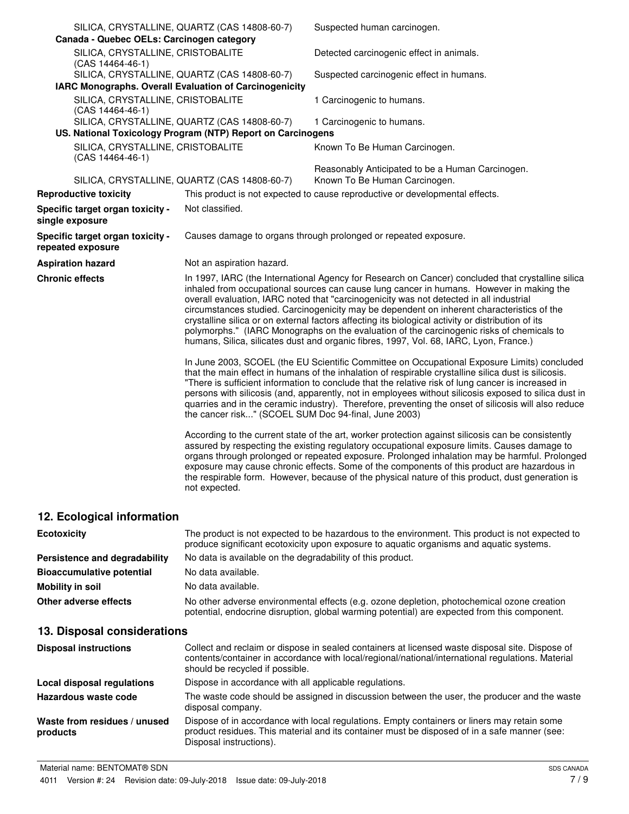| Canada - Quebec OELs: Carcinogen category              | SILICA, CRYSTALLINE, QUARTZ (CAS 14808-60-7)                                                                | Suspected human carcinogen.                                                                                                                                                                                                                                                                                                                                                                                                                                                                                                                                                                                                                                                         |
|--------------------------------------------------------|-------------------------------------------------------------------------------------------------------------|-------------------------------------------------------------------------------------------------------------------------------------------------------------------------------------------------------------------------------------------------------------------------------------------------------------------------------------------------------------------------------------------------------------------------------------------------------------------------------------------------------------------------------------------------------------------------------------------------------------------------------------------------------------------------------------|
| SILICA, CRYSTALLINE, CRISTOBALITE<br>(CAS 14464-46-1)  |                                                                                                             | Detected carcinogenic effect in animals.                                                                                                                                                                                                                                                                                                                                                                                                                                                                                                                                                                                                                                            |
|                                                        | SILICA, CRYSTALLINE, QUARTZ (CAS 14808-60-7)                                                                | Suspected carcinogenic effect in humans.                                                                                                                                                                                                                                                                                                                                                                                                                                                                                                                                                                                                                                            |
| IARC Monographs. Overall Evaluation of Carcinogenicity |                                                                                                             |                                                                                                                                                                                                                                                                                                                                                                                                                                                                                                                                                                                                                                                                                     |
| SILICA, CRYSTALLINE, CRISTOBALITE<br>(CAS 14464-46-1)  |                                                                                                             | 1 Carcinogenic to humans.                                                                                                                                                                                                                                                                                                                                                                                                                                                                                                                                                                                                                                                           |
|                                                        | SILICA, CRYSTALLINE, QUARTZ (CAS 14808-60-7)<br>US. National Toxicology Program (NTP) Report on Carcinogens | 1 Carcinogenic to humans.                                                                                                                                                                                                                                                                                                                                                                                                                                                                                                                                                                                                                                                           |
|                                                        |                                                                                                             |                                                                                                                                                                                                                                                                                                                                                                                                                                                                                                                                                                                                                                                                                     |
| SILICA, CRYSTALLINE, CRISTOBALITE<br>(CAS 14464-46-1)  |                                                                                                             | Known To Be Human Carcinogen.                                                                                                                                                                                                                                                                                                                                                                                                                                                                                                                                                                                                                                                       |
|                                                        | SILICA, CRYSTALLINE, QUARTZ (CAS 14808-60-7)                                                                | Reasonably Anticipated to be a Human Carcinogen.<br>Known To Be Human Carcinogen.                                                                                                                                                                                                                                                                                                                                                                                                                                                                                                                                                                                                   |
| <b>Reproductive toxicity</b>                           |                                                                                                             | This product is not expected to cause reproductive or developmental effects.                                                                                                                                                                                                                                                                                                                                                                                                                                                                                                                                                                                                        |
| Specific target organ toxicity -<br>single exposure    | Not classified.                                                                                             |                                                                                                                                                                                                                                                                                                                                                                                                                                                                                                                                                                                                                                                                                     |
| Specific target organ toxicity -<br>repeated exposure  |                                                                                                             | Causes damage to organs through prolonged or repeated exposure.                                                                                                                                                                                                                                                                                                                                                                                                                                                                                                                                                                                                                     |
| <b>Aspiration hazard</b>                               | Not an aspiration hazard.                                                                                   |                                                                                                                                                                                                                                                                                                                                                                                                                                                                                                                                                                                                                                                                                     |
| <b>Chronic effects</b>                                 |                                                                                                             | In 1997, IARC (the International Agency for Research on Cancer) concluded that crystalline silica<br>inhaled from occupational sources can cause lung cancer in humans. However in making the<br>overall evaluation, IARC noted that "carcinogenicity was not detected in all industrial<br>circumstances studied. Carcinogenicity may be dependent on inherent characteristics of the<br>crystalline silica or on external factors affecting its biological activity or distribution of its<br>polymorphs." (IARC Monographs on the evaluation of the carcinogenic risks of chemicals to<br>humans, Silica, silicates dust and organic fibres, 1997, Vol. 68, IARC, Lyon, France.) |
|                                                        | the cancer risk" (SCOEL SUM Doc 94-final, June 2003)                                                        | In June 2003, SCOEL (the EU Scientific Committee on Occupational Exposure Limits) concluded<br>that the main effect in humans of the inhalation of respirable crystalline silica dust is silicosis.<br>"There is sufficient information to conclude that the relative risk of lung cancer is increased in<br>persons with silicosis (and, apparently, not in employees without silicosis exposed to silica dust in<br>quarries and in the ceramic industry). Therefore, preventing the onset of silicosis will also reduce                                                                                                                                                          |
|                                                        | not expected.                                                                                               | According to the current state of the art, worker protection against silicosis can be consistently<br>assured by respecting the existing regulatory occupational exposure limits. Causes damage to<br>organs through prolonged or repeated exposure. Prolonged inhalation may be harmful. Prolonged<br>exposure may cause chronic effects. Some of the components of this product are hazardous in<br>the respirable form. However, because of the physical nature of this product, dust generation is                                                                                                                                                                              |
| 12. Ecological information                             |                                                                                                             |                                                                                                                                                                                                                                                                                                                                                                                                                                                                                                                                                                                                                                                                                     |

| <b>Ecotoxicity</b>               | The product is not expected to be hazardous to the environment. This product is not expected to<br>produce significant ecotoxicity upon exposure to aquatic organisms and aquatic systems. |
|----------------------------------|--------------------------------------------------------------------------------------------------------------------------------------------------------------------------------------------|
| Persistence and degradability    | No data is available on the degradability of this product.                                                                                                                                 |
| <b>Bioaccumulative potential</b> | No data available.                                                                                                                                                                         |
| Mobility in soil                 | No data available.                                                                                                                                                                         |
| Other adverse effects            | No other adverse environmental effects (e.g. ozone depletion, photochemical ozone creation<br>potential, endocrine disruption, global warming potential) are expected from this component. |

# **13. Disposal considerations**

| <b>Disposal instructions</b>             | Collect and reclaim or dispose in sealed containers at licensed waste disposal site. Dispose of<br>contents/container in accordance with local/regional/national/international regulations. Material<br>should be recycled if possible. |
|------------------------------------------|-----------------------------------------------------------------------------------------------------------------------------------------------------------------------------------------------------------------------------------------|
| Local disposal regulations               | Dispose in accordance with all applicable regulations.                                                                                                                                                                                  |
| Hazardous waste code                     | The waste code should be assigned in discussion between the user, the producer and the waste<br>disposal company.                                                                                                                       |
| Waste from residues / unused<br>products | Dispose of in accordance with local regulations. Empty containers or liners may retain some<br>product residues. This material and its container must be disposed of in a safe manner (see:<br>Disposal instructions).                  |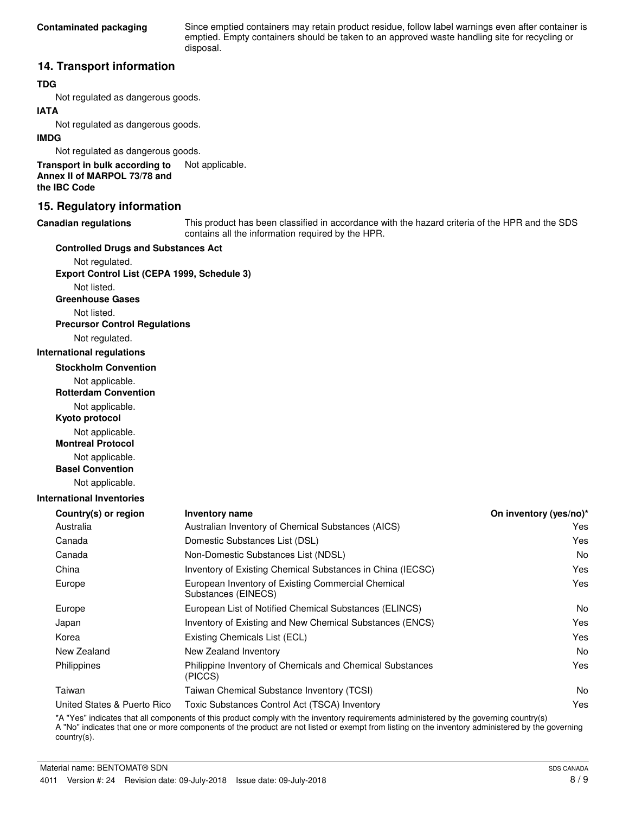Since emptied containers may retain product residue, follow label warnings even after container is emptied. Empty containers should be taken to an approved waste handling site for recycling or disposal.

## **14. Transport information**

## **TDG**

Not regulated as dangerous goods.

## **IATA**

Not regulated as dangerous goods.

#### **IMDG**

Not regulated as dangerous goods.

**Transport in bulk according to** Not applicable. **Annex II of MARPOL 73/78 and the IBC Code**

## **15. Regulatory information**

#### **Canadian regulations**

This product has been classified in accordance with the hazard criteria of the HPR and the SDS contains all the information required by the HPR.

#### **Controlled Drugs and Substances Act**

Not regulated. **Export Control List (CEPA 1999, Schedule 3)**

Not listed. **Greenhouse Gases**

Not listed.

**Precursor Control Regulations**

Not regulated.

#### **International regulations**

**Stockholm Convention**

Not applicable.

**Rotterdam Convention**

Not applicable.

**Kyoto protocol**

Not applicable.

**Montreal Protocol**

Not applicable.

**Basel Convention**

Not applicable.

#### **International Inventories**

| <b>Inventory name</b>                                                     | On inventory (yes/no)* |
|---------------------------------------------------------------------------|------------------------|
| Australian Inventory of Chemical Substances (AICS)                        | Yes                    |
| Domestic Substances List (DSL)                                            | Yes                    |
| Non-Domestic Substances List (NDSL)                                       | No.                    |
| Inventory of Existing Chemical Substances in China (IECSC)                | Yes                    |
| European Inventory of Existing Commercial Chemical<br>Substances (EINECS) | Yes                    |
| European List of Notified Chemical Substances (ELINCS)                    | N <sub>o</sub>         |
| Inventory of Existing and New Chemical Substances (ENCS)                  | Yes                    |
| Existing Chemicals List (ECL)                                             | Yes                    |
| New Zealand Inventory                                                     | No.                    |
| Philippine Inventory of Chemicals and Chemical Substances<br>(PICCS)      | Yes                    |
| Taiwan Chemical Substance Inventory (TCSI)                                | No.                    |
| Toxic Substances Control Act (TSCA) Inventory                             | Yes                    |
|                                                                           |                        |

\*A "Yes" indicates that all components of this product comply with the inventory requirements administered by the governing country(s) A "No" indicates that one or more components of the product are not listed or exempt from listing on the inventory administered by the governing country(s).